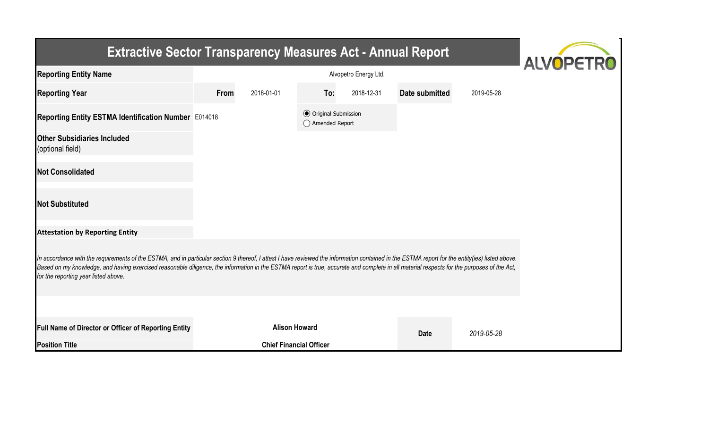| <b>Extractive Sector Transparency Measures Act - Annual Report</b>                                                                                                                                                                                                                                                                                                                                                                    | <b>ALVOPETRO</b> |                                |                                                  |            |                |            |  |  |  |
|---------------------------------------------------------------------------------------------------------------------------------------------------------------------------------------------------------------------------------------------------------------------------------------------------------------------------------------------------------------------------------------------------------------------------------------|------------------|--------------------------------|--------------------------------------------------|------------|----------------|------------|--|--|--|
| <b>Reporting Entity Name</b>                                                                                                                                                                                                                                                                                                                                                                                                          |                  |                                |                                                  |            |                |            |  |  |  |
| <b>Reporting Year</b>                                                                                                                                                                                                                                                                                                                                                                                                                 | From             | 2018-01-01                     | To:                                              | 2018-12-31 | Date submitted | 2019-05-28 |  |  |  |
| Reporting Entity ESTMA Identification Number E014018                                                                                                                                                                                                                                                                                                                                                                                  |                  |                                | <b>◎</b> Original Submission<br>◯ Amended Report |            |                |            |  |  |  |
| <b>Other Subsidiaries Included</b><br>(optional field)                                                                                                                                                                                                                                                                                                                                                                                |                  |                                |                                                  |            |                |            |  |  |  |
| <b>Not Consolidated</b>                                                                                                                                                                                                                                                                                                                                                                                                               |                  |                                |                                                  |            |                |            |  |  |  |
| <b>Not Substituted</b>                                                                                                                                                                                                                                                                                                                                                                                                                |                  |                                |                                                  |            |                |            |  |  |  |
| <b>Attestation by Reporting Entity</b>                                                                                                                                                                                                                                                                                                                                                                                                |                  |                                |                                                  |            |                |            |  |  |  |
| In accordance with the requirements of the ESTMA, and in particular section 9 thereof, I attest I have reviewed the information contained in the ESTMA report for the entity(ies) listed above.<br>Based on my knowledge, and having exercised reasonable diligence, the information in the ESTMA report is true, accurate and complete in all material respects for the purposes of the Act,<br>for the reporting year listed above. |                  |                                |                                                  |            |                |            |  |  |  |
|                                                                                                                                                                                                                                                                                                                                                                                                                                       |                  |                                |                                                  |            |                |            |  |  |  |
| <b>Full Name of Director or Officer of Reporting Entity</b>                                                                                                                                                                                                                                                                                                                                                                           |                  | <b>Alison Howard</b>           |                                                  |            | <b>Date</b>    | 2019-05-28 |  |  |  |
| <b>Position Title</b>                                                                                                                                                                                                                                                                                                                                                                                                                 |                  | <b>Chief Financial Officer</b> |                                                  |            |                |            |  |  |  |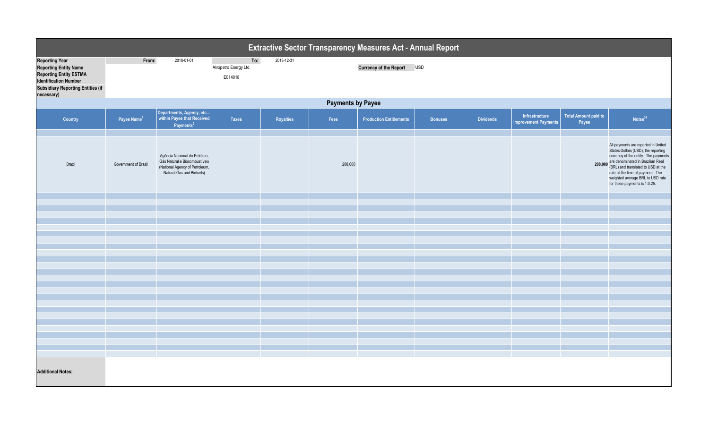| Extractive Sector Transparency Measures Act - Annual Report                                                                                                                      |                          |                                                                                                                               |                                         |                  |         |                                |                |                  |                                               |                                      |                                                                                                                                                                                                                                                                                                        |  |
|----------------------------------------------------------------------------------------------------------------------------------------------------------------------------------|--------------------------|-------------------------------------------------------------------------------------------------------------------------------|-----------------------------------------|------------------|---------|--------------------------------|----------------|------------------|-----------------------------------------------|--------------------------------------|--------------------------------------------------------------------------------------------------------------------------------------------------------------------------------------------------------------------------------------------------------------------------------------------------------|--|
| <b>Reporting Year</b><br><b>Reporting Entity Name</b><br><b>Reporting Entity ESTMA</b><br><b>Identification Number</b><br><b>Subsidiary Reporting Entities (if</b><br>necessary) | From:                    | 2018-01-01                                                                                                                    | To:<br>Alvopetro Energy Ltd.<br>E014018 | 2018-12-31       |         | Currency of the Report USD     |                |                  |                                               |                                      |                                                                                                                                                                                                                                                                                                        |  |
|                                                                                                                                                                                  | <b>Payments by Payee</b> |                                                                                                                               |                                         |                  |         |                                |                |                  |                                               |                                      |                                                                                                                                                                                                                                                                                                        |  |
| <b>Country</b>                                                                                                                                                                   | Payee Name <sup>1</sup>  | Departments, Agency, etc<br>within Payee that Received<br>Payments <sup>2</sup>                                               | <b>Taxes</b>                            | <b>Royalties</b> | Fees    | <b>Production Entitlements</b> | <b>Bonuses</b> | <b>Dividends</b> | Infrastructure<br><b>Improvement Payments</b> | <b>Total Amount paid to</b><br>Payee | Notes <sup>34</sup>                                                                                                                                                                                                                                                                                    |  |
| Brazil                                                                                                                                                                           | Government of Brazil     | Agência Nacional do Petróleo,<br>Gás Natural e Biocombustíveis<br>(National Agency of Petroleum,<br>Natural Gas and Biofuels) |                                         |                  | 208,000 |                                |                |                  |                                               | 208,000                              | All payments are reported in United<br>States Dollars (USD), the reporting<br>currency of the entity. The payments<br>are denominated in Brazilian Real<br>(BRL) and translated to USD at the<br>rate at the time of payment. The<br>weighted average BRL to USD rate<br>for these payments is 1:0.25. |  |
|                                                                                                                                                                                  |                          |                                                                                                                               |                                         |                  |         |                                |                |                  |                                               |                                      |                                                                                                                                                                                                                                                                                                        |  |
|                                                                                                                                                                                  |                          |                                                                                                                               |                                         |                  |         |                                |                |                  |                                               |                                      |                                                                                                                                                                                                                                                                                                        |  |
|                                                                                                                                                                                  |                          |                                                                                                                               |                                         |                  |         |                                |                |                  |                                               |                                      |                                                                                                                                                                                                                                                                                                        |  |
|                                                                                                                                                                                  |                          |                                                                                                                               |                                         |                  |         |                                |                |                  |                                               |                                      |                                                                                                                                                                                                                                                                                                        |  |
|                                                                                                                                                                                  |                          |                                                                                                                               |                                         |                  |         |                                |                |                  |                                               |                                      |                                                                                                                                                                                                                                                                                                        |  |
|                                                                                                                                                                                  |                          |                                                                                                                               |                                         |                  |         |                                |                |                  |                                               |                                      |                                                                                                                                                                                                                                                                                                        |  |
|                                                                                                                                                                                  |                          |                                                                                                                               |                                         |                  |         |                                |                |                  |                                               |                                      |                                                                                                                                                                                                                                                                                                        |  |
|                                                                                                                                                                                  |                          |                                                                                                                               |                                         |                  |         |                                |                |                  |                                               |                                      |                                                                                                                                                                                                                                                                                                        |  |
|                                                                                                                                                                                  |                          |                                                                                                                               |                                         |                  |         |                                |                |                  |                                               |                                      |                                                                                                                                                                                                                                                                                                        |  |
|                                                                                                                                                                                  |                          |                                                                                                                               |                                         |                  |         |                                |                |                  |                                               |                                      |                                                                                                                                                                                                                                                                                                        |  |
|                                                                                                                                                                                  |                          |                                                                                                                               |                                         |                  |         |                                |                |                  |                                               |                                      |                                                                                                                                                                                                                                                                                                        |  |
|                                                                                                                                                                                  |                          |                                                                                                                               |                                         |                  |         |                                |                |                  |                                               |                                      |                                                                                                                                                                                                                                                                                                        |  |
|                                                                                                                                                                                  |                          |                                                                                                                               |                                         |                  |         |                                |                |                  |                                               |                                      |                                                                                                                                                                                                                                                                                                        |  |
|                                                                                                                                                                                  |                          |                                                                                                                               |                                         |                  |         |                                |                |                  |                                               |                                      |                                                                                                                                                                                                                                                                                                        |  |
|                                                                                                                                                                                  |                          |                                                                                                                               |                                         |                  |         |                                |                |                  |                                               |                                      |                                                                                                                                                                                                                                                                                                        |  |
|                                                                                                                                                                                  |                          |                                                                                                                               |                                         |                  |         |                                |                |                  |                                               |                                      |                                                                                                                                                                                                                                                                                                        |  |
|                                                                                                                                                                                  |                          |                                                                                                                               |                                         |                  |         |                                |                |                  |                                               |                                      |                                                                                                                                                                                                                                                                                                        |  |
|                                                                                                                                                                                  |                          |                                                                                                                               |                                         |                  |         |                                |                |                  |                                               |                                      |                                                                                                                                                                                                                                                                                                        |  |
|                                                                                                                                                                                  |                          |                                                                                                                               |                                         |                  |         |                                |                |                  |                                               |                                      |                                                                                                                                                                                                                                                                                                        |  |
|                                                                                                                                                                                  |                          |                                                                                                                               |                                         |                  |         |                                |                |                  |                                               |                                      |                                                                                                                                                                                                                                                                                                        |  |
|                                                                                                                                                                                  |                          |                                                                                                                               |                                         |                  |         |                                |                |                  |                                               |                                      |                                                                                                                                                                                                                                                                                                        |  |
|                                                                                                                                                                                  |                          |                                                                                                                               |                                         |                  |         |                                |                |                  |                                               |                                      |                                                                                                                                                                                                                                                                                                        |  |
| <b>Additional Notes:</b>                                                                                                                                                         |                          |                                                                                                                               |                                         |                  |         |                                |                |                  |                                               |                                      |                                                                                                                                                                                                                                                                                                        |  |